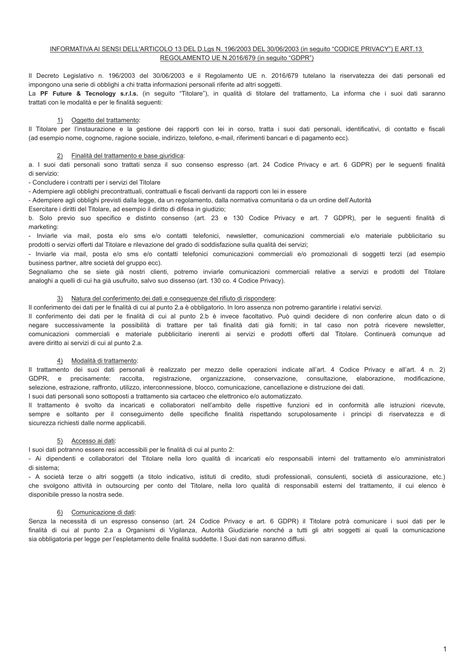## INFORMATIVA AI SENSI DELL'ARTICOLO 13 DEL D.Lgs N. 196/2003 DEL 30/06/2003 (in sequito "CODICE PRIVACY") E ART.13 REGOLAMENTO UE N.2016/679 (in sequito "GDPR")

Il Decreto Legislativo n. 196/2003 del 30/06/2003 e il Regolamento UE n. 2016/679 tutelano la riservatezza dei dati personali ed impongono una serie di obblighi a chi tratta informazioni personali riferite ad altri soggetti.

La PF Future & Tecnology s.r.l.s. (in sequito "Titolare"), in qualità di titolare del trattamento. La informa che i suoi dati saranno trattati con le modalità e per le finalità sequenti:

## 1) Oggetto del trattamento:

Il Titolare per l'instaurazione e la gestione dei rapporti con lei in corso, tratta i suoi dati personali, identificativi, di contatto e fiscali (ad esempio nome, cognome, ragione sociale, indirizzo, telefono, e-mail, riferimenti bancari e di pagamento ecc).

## 2) Finalità del trattamento e base giuridica:

a. I suoi dati personali sono trattati senza il suo consenso espresso (art. 24 Codice Privacy e art. 6 GDPR) per le sequenti finalità di servizio:

- Concludere i contratti per i servizi del Titolare

- Adempiere agli obblighi precontrattuali, contrattuali e fiscali derivanti da rapporti con lei in essere

- Adempiere agli obblighi previsti dalla legge, da un regolamento, dalla normativa comunitaria o da un ordine dell'Autorità

Esercitare i diritti del Titolare, ad esempio il diritto di difesa in giudizio;

b. Solo previo suo specifico e distinto consenso (art. 23 e 130 Codice Privacy e art. 7 GDPR), per le sequenti finalità di marketing:

- Inviarle via mail, posta e/o sms e/o contatti telefonici, newsletter, comunicazioni commerciali e/o materiale pubblicitario su prodotti o servizi offerti dal Titolare e rilevazione del grado di soddisfazione sulla qualità dei servizi;

- Inviarle via mail, posta e/o sms e/o contatti telefonici comunicazioni commerciali e/o promozionali di soggetti terzi (ad esempio business partner, altre società del gruppo ecc).

Segnaliamo che se siete già nostri clienti, potremo inviarle comunicazioni commerciali relative a servizi e prodotti del Titolare analoghi a quelli di cui ha già usufruito, salvo suo dissenso (art. 130 co. 4 Codice Privacy).

# 3) Natura del conferimento dei dati e conseguenze del rifiuto di rispondere:

Il conferimento dei dati per le finalità di cui al punto 2.a è obbligatorio. In loro assenza non potremo garantirle i relativi servizi.

Il conferimento dei dati per le finalità di cui al punto 2.b è invece facoltativo. Può quindi decidere di non conferire alcun dato o di negare successivamente la possibilità di trattare per tali finalità dati già forniti; in tal caso non potrà ricevere newsletter, comunicazioni commerciali e materiale pubblicitario inerenti ai servizi e prodotti offerti dal Titolare. Continuerà comunque ad avere diritto ai servizi di cui al punto 2.a.

# 4) Modalità di trattamento:

Il trattamento dei suoi dati personali è realizzato per mezzo delle operazioni indicate all'art. 4 Codice Privacy e all'art. 4 n. 2) GDPR, e precisamente: raccolta, registrazione, organizzazione, conservazione, consultazione, elaborazione, modificazione, selezione, estrazione, raffronto, utilizzo, interconnessione, blocco, comunicazione, cancellazione e distruzione dei dati I suoi dati personali sono sottoposti a trattamento sia cartaceo che elettronico e/o automatizzato

Il trattamento è svolto da incaricati e collaboratori nell'ambito delle rispettive funzioni ed in conformità alle istruzioni ricevute. sempre e soltanto per il conseguimento delle specifiche finalità rispettando scrupolosamente i principi di riservatezza e di sicurezza richiesti dalle norme applicabili.

# 5) Accesso ai dati:

I suoi dati potranno essere resi accessibili per le finalità di cui al punto 2:

- Ai dipendenti e collaboratori del Titolare nella loro qualità di incaricati e/o responsabili interni del trattamento e/o amministratori di sistema:

- A società terze o altri soggetti (a titolo indicativo, istituti di credito, studi professionali, consulenti, società di assicurazione, etc.) che svolgono attività in outsourcing per conto del Titolare, nella loro qualità di responsabili esterni del trattamento, il cui elenco è disponibile presso la nostra sede.

# 6) Comunicazione di dati:

Senza la necessità di un espresso consenso (art. 24 Codice Privacy e art. 6 GDPR) il Titolare potrà comunicare i suoi dati per le finalità di cui al punto 2.a a Organismi di Vigilanza, Autorità Giudiziarie nonché a tutti gli altri soggetti ai quali la comunicazione sia obbligatoria per legge per l'espletamento delle finalità suddette. I Suoi dati non saranno diffusi.